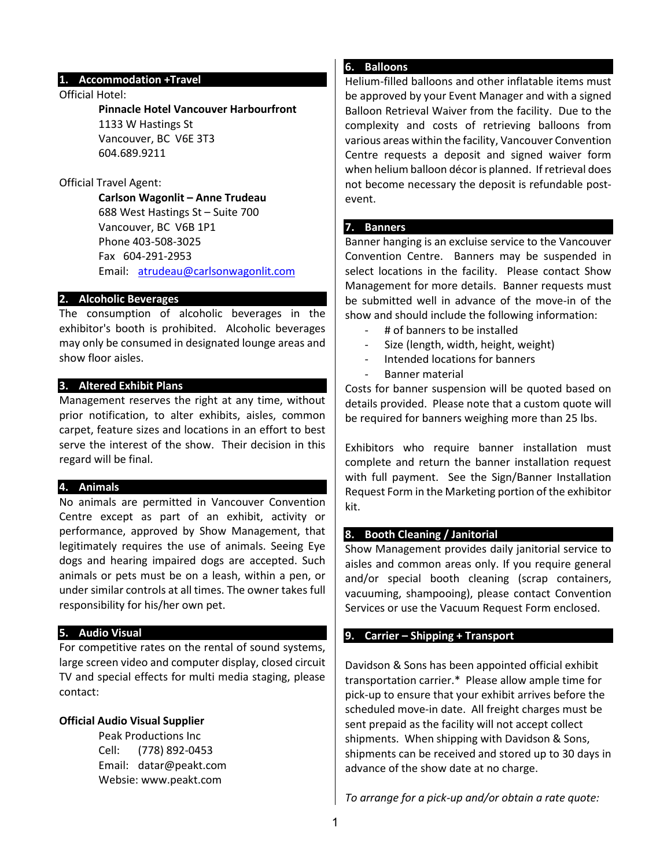### **1. Accommodation +Travel**

#### Official Hotel:

#### **Pinnacle Hotel Vancouver Harbourfront**

1133 W Hastings St Vancouver, BC V6E 3T3 604.689.9211

#### Official Travel Agent:

**Carlson Wagonlit – Anne Trudeau** 688 West Hastings St – Suite 700 Vancouver, BC V6B 1P1 Phone 403-508-3025 Fax 604-291-2953 Email: [atrudeau@carlsonwagonlit.com](mailto:atrudeau@carlsonwagonlit.com)

#### **2. Alcoholic Beverages**

The consumption of alcoholic beverages in the exhibitor's booth is prohibited. Alcoholic beverages may only be consumed in designated lounge areas and show floor aisles.

## **3. Altered Exhibit Plans**

Management reserves the right at any time, without prior notification, to alter exhibits, aisles, common carpet, feature sizes and locations in an effort to best serve the interest of the show. Their decision in this regard will be final.

#### **4. Animals**

No animals are permitted in Vancouver Convention Centre except as part of an exhibit, activity or performance, approved by Show Management, that legitimately requires the use of animals. Seeing Eye dogs and hearing impaired dogs are accepted. Such animals or pets must be on a leash, within a pen, or under similar controls at all times. The owner takes full responsibility for his/her own pet.

#### **5. Audio Visual**

For competitive rates on the rental of sound systems, large screen video and computer display, closed circuit TV and special effects for multi media staging, please contact:

### **Official Audio Visual Supplier**

Peak Productions Inc Cell: (778) 892-0453 Email: datar@peakt.com Websie: www.peakt.com

# **6. Balloons**

Helium-filled balloons and other inflatable items must be approved by your Event Manager and with a signed Balloon Retrieval Waiver from the facility. Due to the complexity and costs of retrieving balloons from various areas within the facility, Vancouver Convention Centre requests a deposit and signed waiver form when helium balloon décor is planned. If retrieval does not become necessary the deposit is refundable postevent.

#### **7. Banners**

Banner hanging is an excluise service to the Vancouver Convention Centre. Banners may be suspended in select locations in the facility. Please contact Show Management for more details. Banner requests must be submitted well in advance of the move-in of the show and should include the following information:

- # of banners to be installed
- Size (length, width, height, weight)
- Intended locations for banners
- Banner material

Costs for banner suspension will be quoted based on details provided. Please note that a custom quote will be required for banners weighing more than 25 lbs.

Exhibitors who require banner installation must complete and return the banner installation request with full payment. See the Sign/Banner Installation Request Form in the Marketing portion of the exhibitor kit.

#### **8. Booth Cleaning / Janitorial**

Show Management provides daily janitorial service to aisles and common areas only. If you require general and/or special booth cleaning (scrap containers, vacuuming, shampooing), please contact Convention Services or use the Vacuum Request Form enclosed.

#### **9. Carrier – Shipping + Transport**

Davidson & Sons has been appointed official exhibit transportation carrier.\* Please allow ample time for pick-up to ensure that your exhibit arrives before the scheduled move-in date. All freight charges must be sent prepaid as the facility will not accept collect shipments. When shipping with Davidson & Sons, shipments can be received and stored up to 30 days in advance of the show date at no charge.

*To arrange for a pick-up and/or obtain a rate quote:*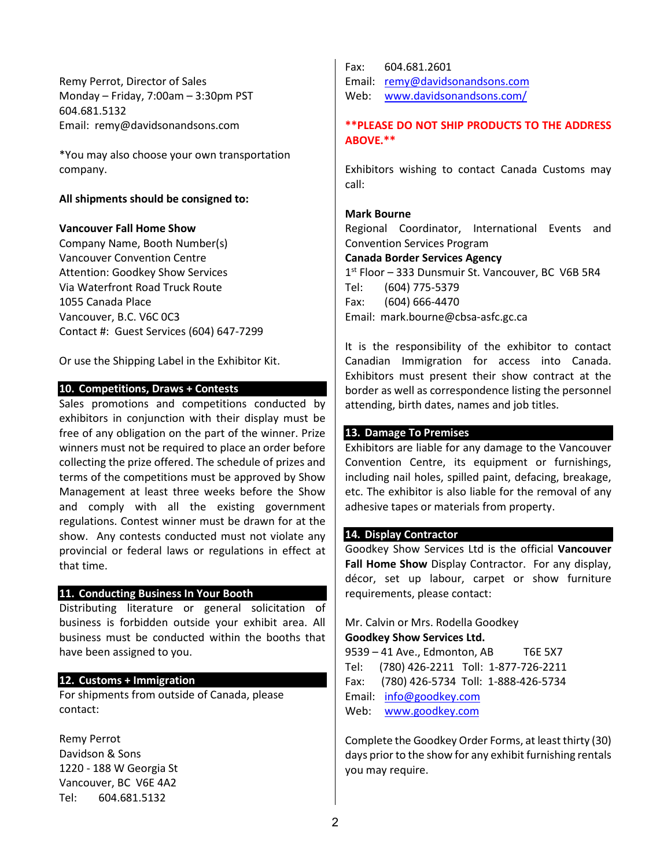Remy Perrot, Director of Sales Monday – Friday, 7:00am – 3:30pm PST 604.681.5132 Email: remy@davidsonandsons.com

\*You may also choose your own transportation company.

### **All shipments should be consigned to:**

## **Vancouver Fall Home Show**

Company Name, Booth Number(s) Vancouver Convention Centre Attention: Goodkey Show Services Via Waterfront Road Truck Route 1055 Canada Place Vancouver, B.C. V6C 0C3 Contact #: Guest Services (604) 647-7299

Or use the Shipping Label in the Exhibitor Kit.

## **10. Competitions, Draws + Contests**

Sales promotions and competitions conducted by exhibitors in conjunction with their display must be free of any obligation on the part of the winner. Prize winners must not be required to place an order before collecting the prize offered. The schedule of prizes and terms of the competitions must be approved by Show Management at least three weeks before the Show and comply with all the existing government regulations. Contest winner must be drawn for at the show. Any contests conducted must not violate any provincial or federal laws or regulations in effect at that time.

### **11. Conducting Business In Your Booth**

Distributing literature or general solicitation of business is forbidden outside your exhibit area. All business must be conducted within the booths that have been assigned to you.

# **12. Customs + Immigration**

For shipments from outside of Canada, please contact:

Remy Perrot Davidson & Sons 1220 - 188 W Georgia St Vancouver, BC V6E 4A2 Tel: 604.681.5132

Fax: 604.681.2601 Email: [remy@davidsonandsons.com](mailto:remy@davidsonandsons.com)  Web: [www.davidsonandsons.com/](http://www.davidsonandsons.com/)

# **\*\*PLEASE DO NOT SHIP PRODUCTS TO THE ADDRESS ABOVE.\*\***

Exhibitors wishing to contact Canada Customs may call:

### **Mark Bourne**

Regional Coordinator, International Events and Convention Services Program **Canada Border Services Agency**

1<sup>st</sup> Floor - 333 Dunsmuir St. Vancouver, BC V6B 5R4 Tel: (604) 775-5379 Fax: (604) 666-4470 Email: mark.bourne@cbsa-asfc.gc.ca

It is the responsibility of the exhibitor to contact Canadian Immigration for access into Canada. Exhibitors must present their show contract at the border as well as correspondence listing the personnel attending, birth dates, names and job titles.

## **13. Damage To Premises**

Exhibitors are liable for any damage to the Vancouver Convention Centre, its equipment or furnishings, including nail holes, spilled paint, defacing, breakage, etc. The exhibitor is also liable for the removal of any adhesive tapes or materials from property.

# **14. Display Contractor**

Goodkey Show Services Ltd is the official **Vancouver Fall Home Show** Display Contractor. For any display, décor, set up labour, carpet or show furniture requirements, please contact:

Mr. Calvin or Mrs. Rodella Goodkey **Goodkey Show Services Ltd.** 9539 – 41 Ave., Edmonton, AB T6E 5X7 Tel: (780) 426-2211 Toll: 1-877-726-2211 Fax: (780) 426-5734 Toll: 1-888-426-5734 Email: [info@goodkey.com](mailto:info@goodkey.com)

Web: [www.goodkey.com](http://www.goodkey.com/)

Complete the Goodkey Order Forms, at least thirty (30) days prior to the show for any exhibit furnishing rentals you may require.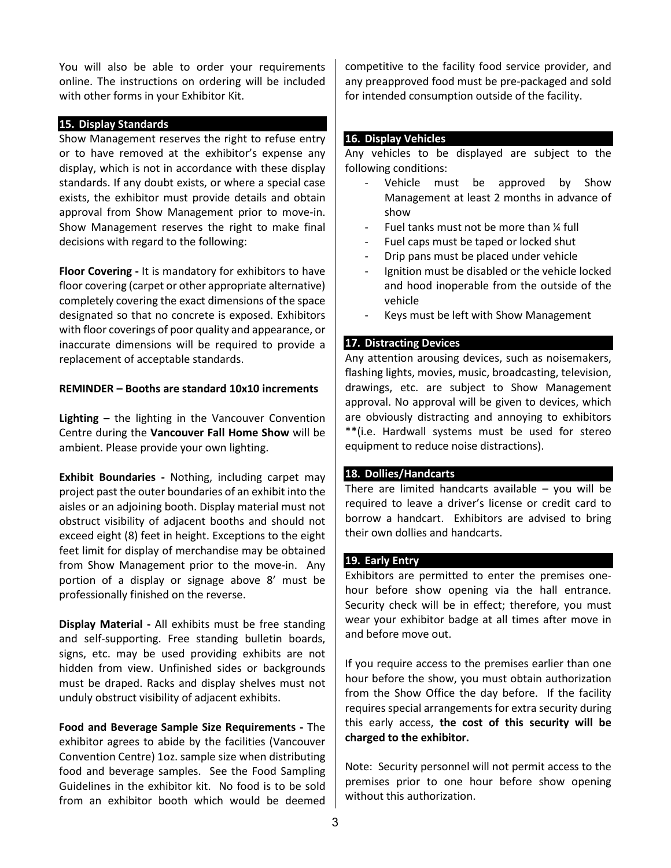You will also be able to order your requirements online. The instructions on ordering will be included with other forms in your Exhibitor Kit.

### **15. Display Standards**

Show Management reserves the right to refuse entry or to have removed at the exhibitor's expense any display, which is not in accordance with these display standards. If any doubt exists, or where a special case exists, the exhibitor must provide details and obtain approval from Show Management prior to move-in. Show Management reserves the right to make final decisions with regard to the following:

**Floor Covering -** It is mandatory for exhibitors to have floor covering (carpet or other appropriate alternative) completely covering the exact dimensions of the space designated so that no concrete is exposed. Exhibitors with floor coverings of poor quality and appearance, or inaccurate dimensions will be required to provide a replacement of acceptable standards.

## **REMINDER – Booths are standard 10x10 increments**

**Lighting –** the lighting in the Vancouver Convention Centre during the **Vancouver Fall Home Show** will be ambient. Please provide your own lighting.

**Exhibit Boundaries -** Nothing, including carpet may project past the outer boundaries of an exhibit into the aisles or an adjoining booth. Display material must not obstruct visibility of adjacent booths and should not exceed eight (8) feet in height. Exceptions to the eight feet limit for display of merchandise may be obtained from Show Management prior to the move-in. Any portion of a display or signage above 8' must be professionally finished on the reverse.

**Display Material -** All exhibits must be free standing and self-supporting. Free standing bulletin boards, signs, etc. may be used providing exhibits are not hidden from view. Unfinished sides or backgrounds must be draped. Racks and display shelves must not unduly obstruct visibility of adjacent exhibits.

**Food and Beverage Sample Size Requirements -** The exhibitor agrees to abide by the facilities (Vancouver Convention Centre) 1oz. sample size when distributing food and beverage samples. See the Food Sampling Guidelines in the exhibitor kit. No food is to be sold from an exhibitor booth which would be deemed

competitive to the facility food service provider, and any preapproved food must be pre-packaged and sold for intended consumption outside of the facility.

# **16. Display Vehicles**

Any vehicles to be displayed are subject to the following conditions:

- Vehicle must be approved by Show Management at least 2 months in advance of show
- Fuel tanks must not be more than 1/4 full
- Fuel caps must be taped or locked shut
- Drip pans must be placed under vehicle
- Ignition must be disabled or the vehicle locked and hood inoperable from the outside of the vehicle
- Keys must be left with Show Management

## **17. Distracting Devices**

Any attention arousing devices, such as noisemakers, flashing lights, movies, music, broadcasting, television, drawings, etc. are subject to Show Management approval. No approval will be given to devices, which are obviously distracting and annoying to exhibitors \*\*(i.e. Hardwall systems must be used for stereo equipment to reduce noise distractions).

### **18. Dollies/Handcarts**

There are limited handcarts available  $-$  you will be required to leave a driver's license or credit card to borrow a handcart. Exhibitors are advised to bring their own dollies and handcarts.

### **19. Early Entry**

Exhibitors are permitted to enter the premises onehour before show opening via the hall entrance. Security check will be in effect; therefore, you must wear your exhibitor badge at all times after move in and before move out.

If you require access to the premises earlier than one hour before the show, you must obtain authorization from the Show Office the day before. If the facility requires special arrangements for extra security during this early access, **the cost of this security will be charged to the exhibitor.**

Note: Security personnel will not permit access to the premises prior to one hour before show opening without this authorization.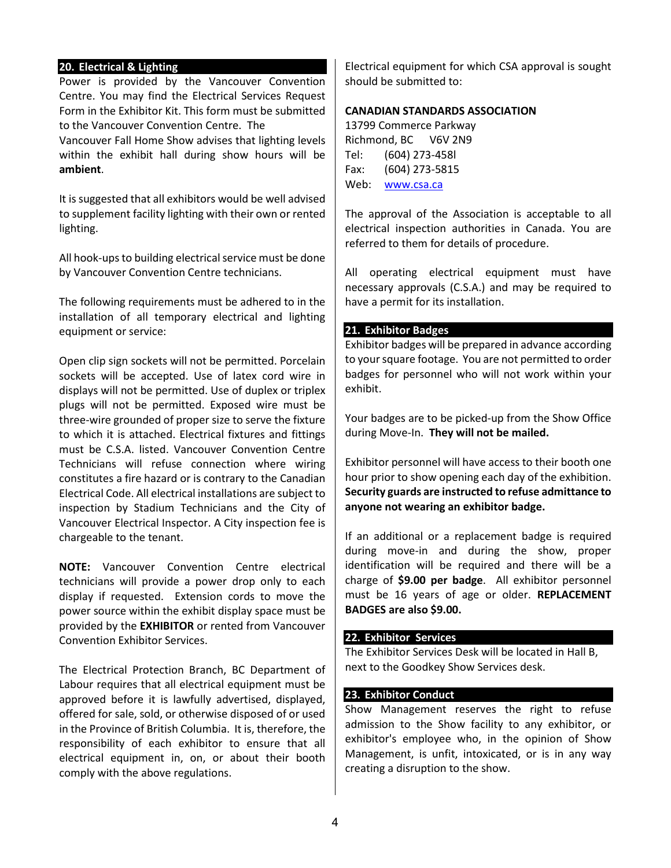# **20. Electrical & Lighting**

Power is provided by the Vancouver Convention Centre. You may find the Electrical Services Request Form in the Exhibitor Kit. This form must be submitted to the Vancouver Convention Centre. The

Vancouver Fall Home Show advises that lighting levels within the exhibit hall during show hours will be **ambient**.

It is suggested that all exhibitors would be well advised to supplement facility lighting with their own or rented lighting.

All hook-ups to building electrical service must be done by Vancouver Convention Centre technicians.

The following requirements must be adhered to in the installation of all temporary electrical and lighting equipment or service:

Open clip sign sockets will not be permitted. Porcelain sockets will be accepted. Use of latex cord wire in displays will not be permitted. Use of duplex or triplex plugs will not be permitted. Exposed wire must be three-wire grounded of proper size to serve the fixture to which it is attached. Electrical fixtures and fittings must be C.S.A. listed. Vancouver Convention Centre Technicians will refuse connection where wiring constitutes a fire hazard or is contrary to the Canadian Electrical Code. All electrical installations are subject to inspection by Stadium Technicians and the City of Vancouver Electrical Inspector. A City inspection fee is chargeable to the tenant.

**NOTE:** Vancouver Convention Centre electrical technicians will provide a power drop only to each display if requested. Extension cords to move the power source within the exhibit display space must be provided by the **EXHIBITOR** or rented from Vancouver Convention Exhibitor Services.

The Electrical Protection Branch, BC Department of Labour requires that all electrical equipment must be approved before it is lawfully advertised, displayed, offered for sale, sold, or otherwise disposed of or used in the Province of British Columbia. It is, therefore, the responsibility of each exhibitor to ensure that all electrical equipment in, on, or about their booth comply with the above regulations.

Electrical equipment for which CSA approval is sought should be submitted to:

### **CANADIAN STANDARDS ASSOCIATION**

13799 Commerce Parkway Richmond, BC V6V 2N9 Tel: (604) 273-458l Fax: (604) 273-5815 Web: [www.csa.ca](http://www.csa.ca/)

The approval of the Association is acceptable to all electrical inspection authorities in Canada. You are referred to them for details of procedure.

All operating electrical equipment must have necessary approvals (C.S.A.) and may be required to have a permit for its installation.

#### **21. Exhibitor Badges**

Exhibitor badges will be prepared in advance according to your square footage. You are not permitted to order badges for personnel who will not work within your exhibit.

Your badges are to be picked-up from the Show Office during Move-In. **They will not be mailed.**

Exhibitor personnel will have access to their booth one hour prior to show opening each day of the exhibition. **Security guards are instructed to refuse admittance to anyone not wearing an exhibitor badge.** 

If an additional or a replacement badge is required during move-in and during the show, proper identification will be required and there will be a charge of **\$9.00 per badge**. All exhibitor personnel must be 16 years of age or older. **REPLACEMENT BADGES are also \$9.00.**

#### **22. Exhibitor Services**

The Exhibitor Services Desk will be located in Hall B, next to the Goodkey Show Services desk.

## **23. Exhibitor Conduct**

Show Management reserves the right to refuse admission to the Show facility to any exhibitor, or exhibitor's employee who, in the opinion of Show Management, is unfit, intoxicated, or is in any way creating a disruption to the show.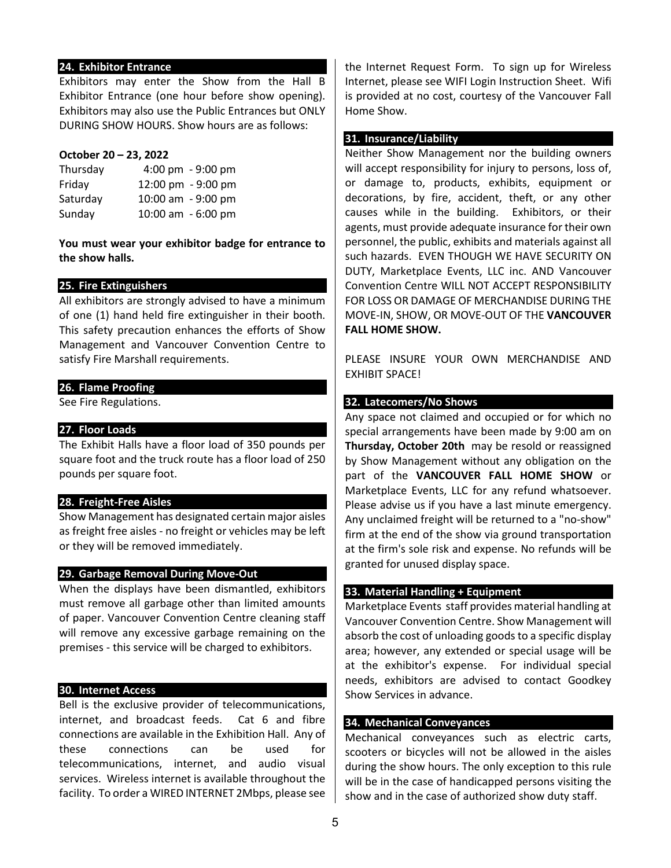## **24. Exhibitor Entrance**

Exhibitors may enter the Show from the Hall B Exhibitor Entrance (one hour before show opening). Exhibitors may also use the Public Entrances but ONLY DURING SHOW HOURS. Show hours are as follows:

### **October 20 – 23, 2022**

| 4:00 pm - 9:00 pm  |
|--------------------|
| 12:00 pm - 9:00 pm |
| 10:00 am - 9:00 pm |
| 10:00 am - 6:00 pm |
|                    |

**You must wear your exhibitor badge for entrance to the show halls.** 

## **25. Fire Extinguishers**

All exhibitors are strongly advised to have a minimum of one (1) hand held fire extinguisher in their booth. This safety precaution enhances the efforts of Show Management and Vancouver Convention Centre to satisfy Fire Marshall requirements.

## **26. Flame Proofing**

See Fire Regulations.

## **27. Floor Loads**

The Exhibit Halls have a floor load of 350 pounds per square foot and the truck route has a floor load of 250 pounds per square foot.

### **28. Freight-Free Aisles**

Show Management has designated certain major aisles as freight free aisles - no freight or vehicles may be left or they will be removed immediately.

### **29. Garbage Removal During Move-Out**

When the displays have been dismantled, exhibitors must remove all garbage other than limited amounts of paper. Vancouver Convention Centre cleaning staff will remove any excessive garbage remaining on the premises - this service will be charged to exhibitors.

### **30. Internet Access**

Bell is the exclusive provider of telecommunications, internet, and broadcast feeds. Cat 6 and fibre connections are available in the Exhibition Hall. Any of these connections can be used for telecommunications, internet, and audio visual services. Wireless internet is available throughout the facility. To order a WIRED INTERNET 2Mbps, please see

the Internet Request Form. To sign up for Wireless Internet, please see WIFI Login Instruction Sheet. Wifi is provided at no cost, courtesy of the Vancouver Fall Home Show.

## **31. Insurance/Liability**

Neither Show Management nor the building owners will accept responsibility for injury to persons, loss of, or damage to, products, exhibits, equipment or decorations, by fire, accident, theft, or any other causes while in the building. Exhibitors, or their agents, must provide adequate insurance for their own personnel, the public, exhibits and materials against all such hazards. EVEN THOUGH WE HAVE SECURITY ON DUTY, Marketplace Events, LLC inc. AND Vancouver Convention Centre WILL NOT ACCEPT RESPONSIBILITY FOR LOSS OR DAMAGE OF MERCHANDISE DURING THE MOVE-IN, SHOW, OR MOVE-OUT OF THE **VANCOUVER FALL HOME SHOW.**

PLEASE INSURE YOUR OWN MERCHANDISE AND EXHIBIT SPACE!

# **32. Latecomers/No Shows**

Any space not claimed and occupied or for which no special arrangements have been made by 9:00 am on **Thursday, October 20th** may be resold or reassigned by Show Management without any obligation on the part of the **VANCOUVER FALL HOME SHOW** or Marketplace Events, LLC for any refund whatsoever. Please advise us if you have a last minute emergency. Any unclaimed freight will be returned to a "no-show" firm at the end of the show via ground transportation at the firm's sole risk and expense. No refunds will be granted for unused display space.

### **33. Material Handling + Equipment**

Marketplace Events staff provides material handling at Vancouver Convention Centre. Show Management will absorb the cost of unloading goods to a specific display area; however, any extended or special usage will be at the exhibitor's expense. For individual special needs, exhibitors are advised to contact Goodkey Show Services in advance.

## **34. Mechanical Conveyances**

Mechanical conveyances such as electric carts, scooters or bicycles will not be allowed in the aisles during the show hours. The only exception to this rule will be in the case of handicapped persons visiting the show and in the case of authorized show duty staff.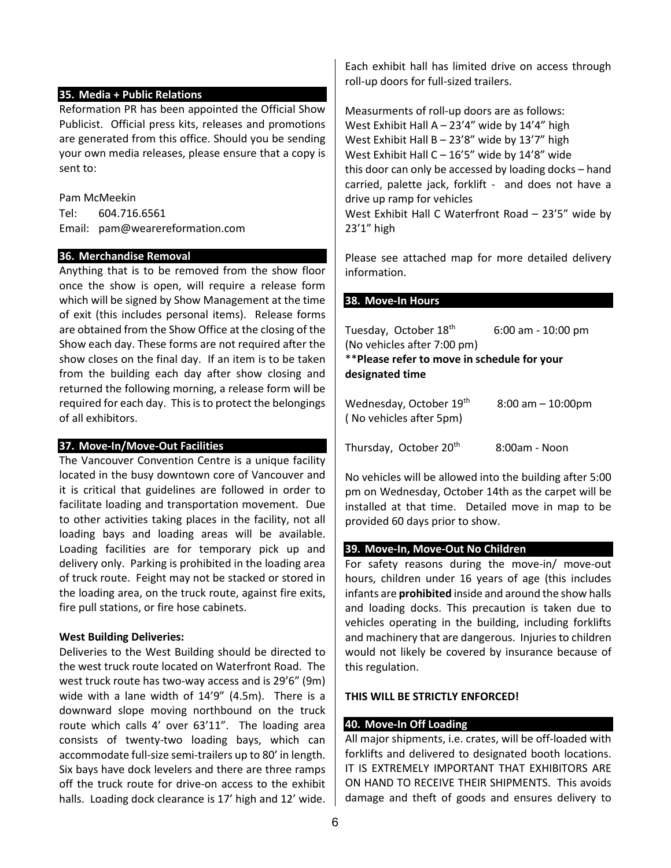## **35. Media + Public Relations**

Reformation PR has been appointed the Official Show Publicist. Official press kits, releases and promotions are generated from this office. Should you be sending your own media releases, please ensure that a copy is sent to:

Pam McMeekin

Tel: 604.716.6561 Email: pam@wearereformation.com

## **36. Merchandise Removal**

Anything that is to be removed from the show floor once the show is open, will require a release form which will be signed by Show Management at the time of exit (this includes personal items). Release forms are obtained from the Show Office at the closing of the Show each day. These forms are not required after the show closes on the final day. If an item is to be taken from the building each day after show closing and returned the following morning, a release form will be required for each day. This is to protect the belongings of all exhibitors.

# **37. Move-In/Move-Out Facilities**

The Vancouver Convention Centre is a unique facility located in the busy downtown core of Vancouver and it is critical that guidelines are followed in order to facilitate loading and transportation movement. Due to other activities taking places in the facility, not all loading bays and loading areas will be available. Loading facilities are for temporary pick up and delivery only. Parking is prohibited in the loading area of truck route. Feight may not be stacked or stored in the loading area, on the truck route, against fire exits, fire pull stations, or fire hose cabinets.

# **West Building Deliveries:**

Deliveries to the West Building should be directed to the west truck route located on Waterfront Road. The west truck route has two-way access and is 29'6" (9m) wide with a lane width of 14'9" (4.5m). There is a downward slope moving northbound on the truck route which calls 4' over 63'11". The loading area consists of twenty-two loading bays, which can accommodate full-size semi-trailers up to 80' in length. Six bays have dock levelers and there are three ramps off the truck route for drive-on access to the exhibit halls. Loading dock clearance is 17' high and 12' wide. Each exhibit hall has limited drive on access through roll-up doors for full-sized trailers.

Measurments of roll-up doors are as follows: West Exhibit Hall  $A - 23'4''$  wide by  $14'4''$  high West Exhibit Hall  $B - 23'8''$  wide by 13'7" high West Exhibit Hall C – 16'5" wide by 14'8" wide this door can only be accessed by loading docks – hand carried, palette jack, forklift - and does not have a drive up ramp for vehicles West Exhibit Hall C Waterfront Road – 23'5" wide by 23'1" high

Please see attached map for more detailed delivery information.

## **38. Move-In Hours**

| Tuesday, October 18 <sup>th</sup>                              | 6:00 am - 10:00 pm    |  |  |  |
|----------------------------------------------------------------|-----------------------|--|--|--|
| (No vehicles after 7:00 pm)                                    |                       |  |  |  |
| **Please refer to move in schedule for your                    |                       |  |  |  |
| designated time                                                |                       |  |  |  |
| Wednesday, October 19 <sup>th</sup><br>(No vehicles after 5pm) | $8:00$ am $-10:00$ pm |  |  |  |

Thursday, October  $20<sup>th</sup>$  8:00am - Noon

No vehicles will be allowed into the building after 5:00 pm on Wednesday, October 14th as the carpet will be installed at that time. Detailed move in map to be provided 60 days prior to show.

# **39. Move-In, Move-Out No Children**

For safety reasons during the move-in/ move-out hours, children under 16 years of age (this includes infants are **prohibited** inside and around the show halls and loading docks. This precaution is taken due to vehicles operating in the building, including forklifts and machinery that are dangerous. Injuries to children would not likely be covered by insurance because of this regulation.

# **THIS WILL BE STRICTLY ENFORCED!**

# **40. Move-In Off Loading**

All major shipments, i.e. crates, will be off-loaded with forklifts and delivered to designated booth locations. IT IS EXTREMELY IMPORTANT THAT EXHIBITORS ARE ON HAND TO RECEIVE THEIR SHIPMENTS. This avoids damage and theft of goods and ensures delivery to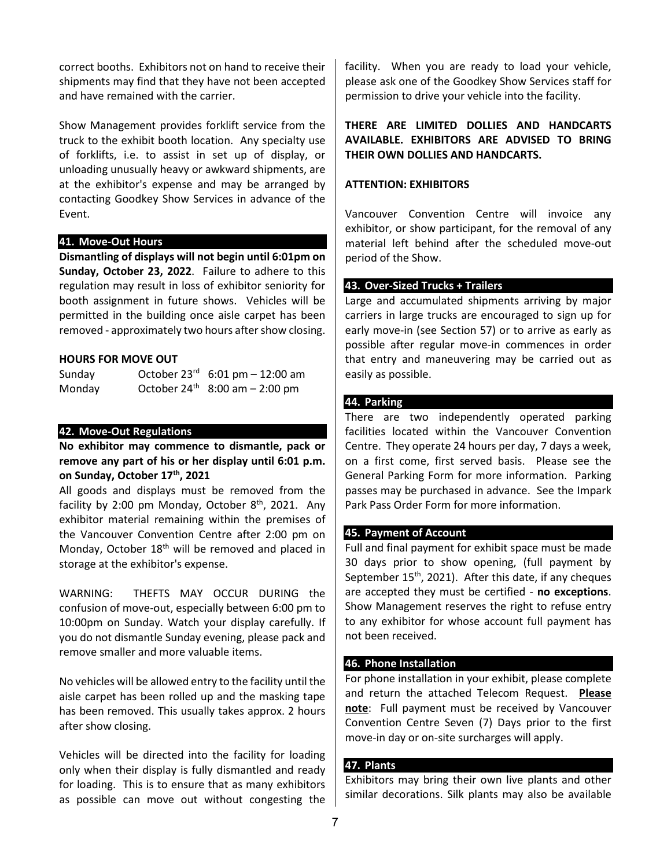correct booths. Exhibitors not on hand to receive their shipments may find that they have not been accepted and have remained with the carrier.

Show Management provides forklift service from the truck to the exhibit booth location. Any specialty use of forklifts, i.e. to assist in set up of display, or unloading unusually heavy or awkward shipments, are at the exhibitor's expense and may be arranged by contacting Goodkey Show Services in advance of the Event.

# **41. Move-Out Hours**

**Dismantling of displays will not begin until 6:01pm on Sunday, October 23, 2022**. Failure to adhere to this regulation may result in loss of exhibitor seniority for booth assignment in future shows. Vehicles will be permitted in the building once aisle carpet has been removed - approximately two hours after show closing.

### **HOURS FOR MOVE OUT**

| Sunday | October $23^{rd}$ 6:01 pm - 12:00 am |
|--------|--------------------------------------|
| Monday | October $24^{th}$ 8:00 am - 2:00 pm  |

## **42. Move-Out Regulations**

**No exhibitor may commence to dismantle, pack or remove any part of his or her display until 6:01 p.m. on Sunday, October 17th, 2021** 

All goods and displays must be removed from the facility by 2:00 pm Monday, October  $8<sup>th</sup>$ , 2021. Any exhibitor material remaining within the premises of the Vancouver Convention Centre after 2:00 pm on Monday, October 18<sup>th</sup> will be removed and placed in storage at the exhibitor's expense.

WARNING: THEFTS MAY OCCUR DURING the confusion of move-out, especially between 6:00 pm to 10:00pm on Sunday. Watch your display carefully. If you do not dismantle Sunday evening, please pack and remove smaller and more valuable items.

No vehicles will be allowed entry to the facility until the aisle carpet has been rolled up and the masking tape has been removed. This usually takes approx. 2 hours after show closing.

Vehicles will be directed into the facility for loading only when their display is fully dismantled and ready for loading. This is to ensure that as many exhibitors as possible can move out without congesting the facility. When you are ready to load your vehicle, please ask one of the Goodkey Show Services staff for permission to drive your vehicle into the facility.

# **THERE ARE LIMITED DOLLIES AND HANDCARTS AVAILABLE. EXHIBITORS ARE ADVISED TO BRING THEIR OWN DOLLIES AND HANDCARTS.**

## **ATTENTION: EXHIBITORS**

Vancouver Convention Centre will invoice any exhibitor, or show participant, for the removal of any material left behind after the scheduled move-out period of the Show.

## **43. Over-Sized Trucks + Trailers**

Large and accumulated shipments arriving by major carriers in large trucks are encouraged to sign up for early move-in (see Section 57) or to arrive as early as possible after regular move-in commences in order that entry and maneuvering may be carried out as easily as possible.

## **44. Parking**

There are two independently operated parking facilities located within the Vancouver Convention Centre. They operate 24 hours per day, 7 days a week, on a first come, first served basis. Please see the General Parking Form for more information. Parking passes may be purchased in advance. See the Impark Park Pass Order Form for more information.

### **45. Payment of Account**

Full and final payment for exhibit space must be made 30 days prior to show opening, (full payment by September  $15<sup>th</sup>$ , 2021). After this date, if any cheques are accepted they must be certified - **no exceptions**. Show Management reserves the right to refuse entry to any exhibitor for whose account full payment has not been received.

# **46. Phone Installation**

For phone installation in your exhibit, please complete and return the attached Telecom Request. **Please note**: Full payment must be received by Vancouver Convention Centre Seven (7) Days prior to the first move-in day or on-site surcharges will apply.

### **47. Plants**

Exhibitors may bring their own live plants and other similar decorations. Silk plants may also be available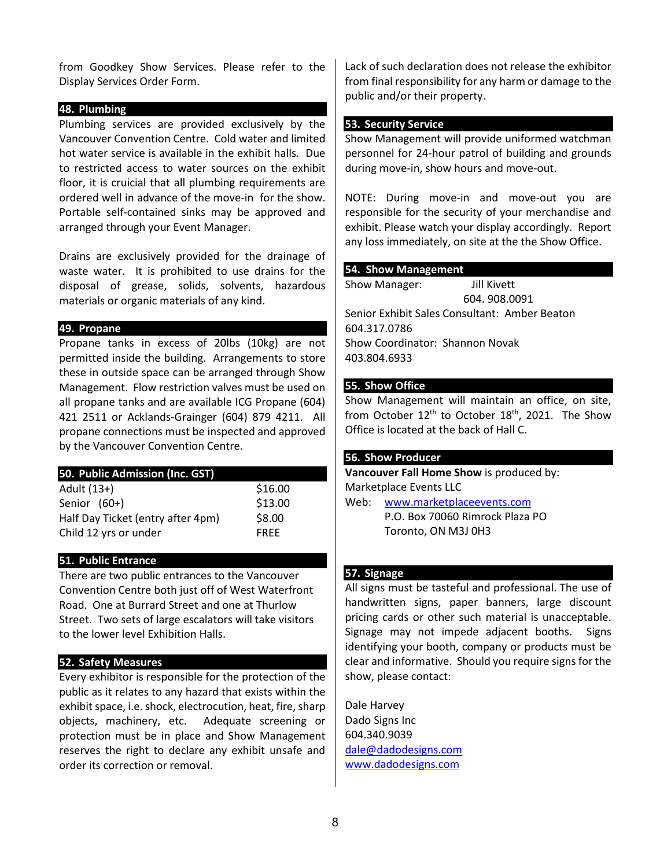from Goodkey Show Services. Please refer to the Display Services Order Form.

# **48. Plumbing**

Plumbing services are provided exclusively by the Vancouver Convention Centre. Cold water and limited hot water service is available in the exhibit halls. Due to restricted access to water sources on the exhibit floor, it is cruicial that all plumbing requirements are ordered well in advance of the move-in for the show. Portable self-contained sinks may be approved and arranged through your Event Manager.

Drains are exclusively provided for the drainage of waste water. It is prohibited to use drains for the disposal of grease, solids, solvents, hazardous materials or organic materials of any kind.

## **49. Propane**

Propane tanks in excess of 20lbs (10kg) are not permitted inside the building. Arrangements to store these in outside space can be arranged through Show Management. Flow restriction valves must be used on all propane tanks and are available ICG Propane (604) 421 2511 or Acklands-Grainger (604) 879 4211. All propane connections must be inspected and approved by the Vancouver Convention Centre.

| 50. Public Admission (Inc. GST)   |             |
|-----------------------------------|-------------|
| Adult (13+)                       | \$16.00     |
| Senior (60+)                      | \$13.00     |
| Half Day Ticket (entry after 4pm) | \$8.00      |
| Child 12 yrs or under             | <b>FREE</b> |
|                                   |             |

# **51. Public Entrance**

There are two public entrances to the Vancouver Convention Centre both just off of West Waterfront Road. One at Burrard Street and one at Thurlow Street. Two sets of large escalators will take visitors to the lower level Exhibition Halls.

# **52. Safety Measures**

Every exhibitor is responsible for the protection of the public as it relates to any hazard that exists within the exhibit space, i.e. shock, electrocution, heat, fire, sharp objects, machinery, etc. Adequate screening or protection must be in place and Show Management reserves the right to declare any exhibit unsafe and order its correction or removal.

Lack of such declaration does not release the exhibitor from final responsibility for any harm or damage to the public and/or their property.

### **53. Security Service**

Show Management will provide uniformed watchman personnel for 24-hour patrol of building and grounds during move-in, show hours and move-out.

NOTE: During move-in and move-out you are responsible for the security of your merchandise and exhibit. Please watch your display accordingly. Report any loss immediately, on site at the the Show Office.

## **54. Show Management**

Show Manager: Jill Kivett 604. 908.0091 Senior Exhibit Sales Consultant: Amber Beaton 604.317.0786 Show Coordinator: Shannon Novak 403.804.6933

## **55. Show Office**

Show Management will maintain an office, on site, from October  $12<sup>th</sup>$  to October  $18<sup>th</sup>$ , 2021. The Show Office is located at the back of Hall C.

# **56. Show Producer**

**Vancouver Fall Home Show** is produced by: Marketplace Events LLC Web: [www.marketplaceevents.com](file://vanxpo/common/Home%20Shows%202008/VH+IDS/Exhibitor%20Kit/www.marketplaceevents.com)

P.O. Box 70060 Rimrock Plaza PO Toronto, ON M3J 0H3

# **57. Signage**

All signs must be tasteful and professional. The use of handwritten signs, paper banners, large discount pricing cards or other such material is unacceptable. Signage may not impede adjacent booths. Signs identifying your booth, company or products must be clear and informative. Should you require signs for the show, please contact:

Dale Harvey Dado Signs Inc 604.340.9039 [dale@dadodesigns.com](mailto:dale@dadodesigns.com) www.dadodesigns.com